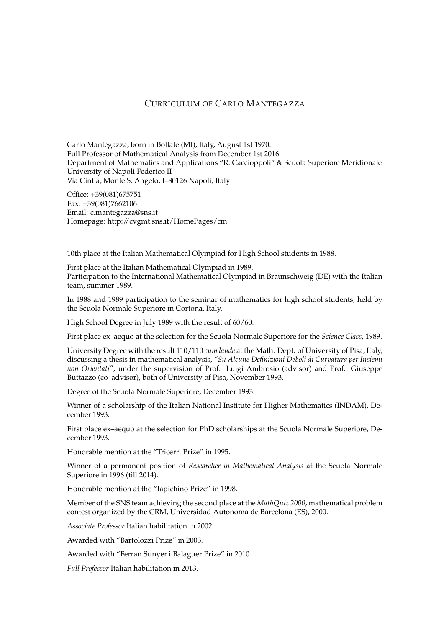# CURRICULUM OF CARLO MANTEGAZZA

Carlo Mantegazza, born in Bollate (MI), Italy, August 1st 1970. Full Professor of Mathematical Analysis from December 1st 2016 Department of Mathematics and Applications "R. Caccioppoli" & Scuola Superiore Meridionale University of Napoli Federico II Via Cintia, Monte S. Angelo, I–80126 Napoli, Italy

Office: +39(081)675751 Fax: +39(081)7662106 Email: c.mantegazza@sns.it Homepage: http://cvgmt.sns.it/HomePages/cm

10th place at the Italian Mathematical Olympiad for High School students in 1988.

First place at the Italian Mathematical Olympiad in 1989. Participation to the International Mathematical Olympiad in Braunschweig (DE) with the Italian team, summer 1989.

In 1988 and 1989 participation to the seminar of mathematics for high school students, held by the Scuola Normale Superiore in Cortona, Italy.

High School Degree in July 1989 with the result of 60/60.

First place ex–aequo at the selection for the Scuola Normale Superiore for the *Science Class*, 1989.

University Degree with the result 110/110 *cum laude* at the Math. Dept. of University of Pisa, Italy, discussing a thesis in mathematical analysis, *"Su Alcune Definizioni Deboli di Curvatura per Insiemi non Orientati"*, under the supervision of Prof. Luigi Ambrosio (advisor) and Prof. Giuseppe Buttazzo (co–advisor), both of University of Pisa, November 1993.

Degree of the Scuola Normale Superiore, December 1993.

Winner of a scholarship of the Italian National Institute for Higher Mathematics (INDAM), December 1993.

First place ex–aequo at the selection for PhD scholarships at the Scuola Normale Superiore, December 1993.

Honorable mention at the "Tricerri Prize" in 1995.

Winner of a permanent position of *Researcher in Mathematical Analysis* at the Scuola Normale Superiore in 1996 (till 2014).

Honorable mention at the "Iapichino Prize" in 1998.

Member of the SNS team achieving the second place at the *MathQuiz 2000*, mathematical problem contest organized by the CRM, Universidad Autonoma de Barcelona (ES), 2000.

*Associate Professor* Italian habilitation in 2002.

Awarded with "Bartolozzi Prize" in 2003.

Awarded with "Ferran Sunyer i Balaguer Prize" in 2010.

*Full Professor* Italian habilitation in 2013.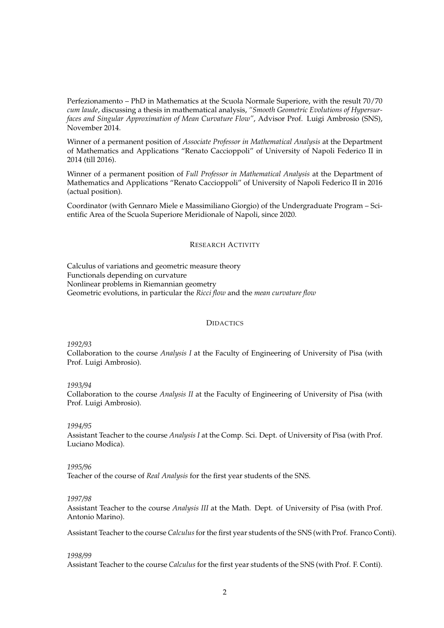Perfezionamento – PhD in Mathematics at the Scuola Normale Superiore, with the result 70/70 *cum laude*, discussing a thesis in mathematical analysis, *"Smooth Geometric Evolutions of Hypersurfaces and Singular Approximation of Mean Curvature Flow"*, Advisor Prof. Luigi Ambrosio (SNS), November 2014.

Winner of a permanent position of *Associate Professor in Mathematical Analysis* at the Department of Mathematics and Applications "Renato Caccioppoli" of University of Napoli Federico II in 2014 (till 2016).

Winner of a permanent position of *Full Professor in Mathematical Analysis* at the Department of Mathematics and Applications "Renato Caccioppoli" of University of Napoli Federico II in 2016 (actual position).

Coordinator (with Gennaro Miele e Massimiliano Giorgio) of the Undergraduate Program – Scientific Area of the Scuola Superiore Meridionale of Napoli, since 2020.

### RESEARCH ACTIVITY

Calculus of variations and geometric measure theory Functionals depending on curvature Nonlinear problems in Riemannian geometry Geometric evolutions, in particular the *Ricci flow* and the *mean curvature flow*

# **DIDACTICS**

*1992/93*

Collaboration to the course *Analysis I* at the Faculty of Engineering of University of Pisa (with Prof. Luigi Ambrosio).

*1993/94*

Collaboration to the course *Analysis II* at the Faculty of Engineering of University of Pisa (with Prof. Luigi Ambrosio).

#### *1994/95*

Assistant Teacher to the course *Analysis I* at the Comp. Sci. Dept. of University of Pisa (with Prof. Luciano Modica).

#### *1995/96*

Teacher of the course of *Real Analysis* for the first year students of the SNS.

### *1997/98*

Assistant Teacher to the course *Analysis III* at the Math. Dept. of University of Pisa (with Prof. Antonio Marino).

Assistant Teacher to the course *Calculus*for the first year students of the SNS (with Prof. Franco Conti).

## *1998/99*

Assistant Teacher to the course *Calculus* for the first year students of the SNS (with Prof. F. Conti).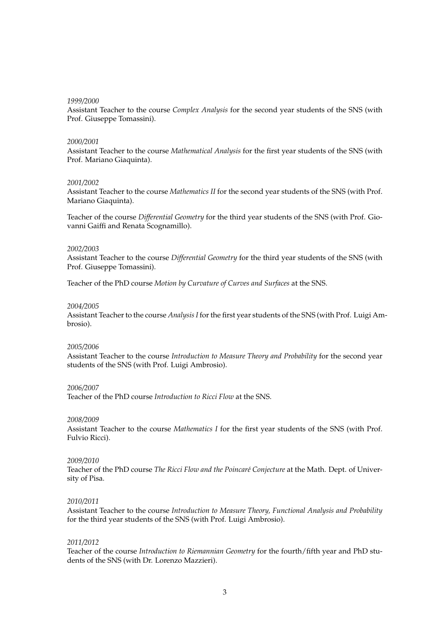### *1999/2000*

Assistant Teacher to the course *Complex Analysis* for the second year students of the SNS (with Prof. Giuseppe Tomassini).

### *2000/2001*

Assistant Teacher to the course *Mathematical Analysis* for the first year students of the SNS (with Prof. Mariano Giaquinta).

## *2001/2002*

Assistant Teacher to the course *Mathematics II* for the second year students of the SNS (with Prof. Mariano Giaquinta).

Teacher of the course *Differential Geometry* for the third year students of the SNS (with Prof. Giovanni Gaiffi and Renata Scognamillo).

## *2002/2003*

Assistant Teacher to the course *Differential Geometry* for the third year students of the SNS (with Prof. Giuseppe Tomassini).

Teacher of the PhD course *Motion by Curvature of Curves and Surfaces* at the SNS.

## *2004/2005*

Assistant Teacher to the course *Analysis I* for the first year students of the SNS (with Prof. Luigi Ambrosio).

### *2005/2006*

Assistant Teacher to the course *Introduction to Measure Theory and Probability* for the second year students of the SNS (with Prof. Luigi Ambrosio).

### *2006/2007*

Teacher of the PhD course *Introduction to Ricci Flow* at the SNS.

## *2008/2009*

Assistant Teacher to the course *Mathematics I* for the first year students of the SNS (with Prof. Fulvio Ricci).

### *2009/2010*

Teacher of the PhD course *The Ricci Flow and the Poincaré Conjecture* at the Math. Dept. of University of Pisa.

### *2010/2011*

Assistant Teacher to the course *Introduction to Measure Theory, Functional Analysis and Probability* for the third year students of the SNS (with Prof. Luigi Ambrosio).

### *2011/2012*

Teacher of the course *Introduction to Riemannian Geometry* for the fourth/fifth year and PhD students of the SNS (with Dr. Lorenzo Mazzieri).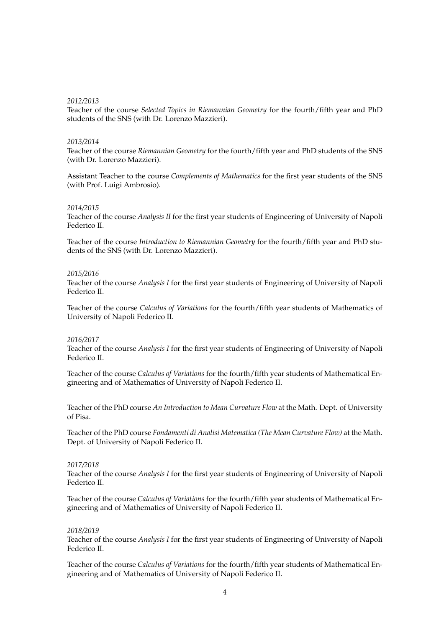## *2012/2013*

Teacher of the course *Selected Topics in Riemannian Geometry* for the fourth/fifth year and PhD students of the SNS (with Dr. Lorenzo Mazzieri).

### *2013/2014*

Teacher of the course *Riemannian Geometry* for the fourth/fifth year and PhD students of the SNS (with Dr. Lorenzo Mazzieri).

Assistant Teacher to the course *Complements of Mathematics* for the first year students of the SNS (with Prof. Luigi Ambrosio).

### *2014/2015*

Teacher of the course *Analysis II* for the first year students of Engineering of University of Napoli Federico II.

Teacher of the course *Introduction to Riemannian Geometry* for the fourth/fifth year and PhD students of the SNS (with Dr. Lorenzo Mazzieri).

## *2015/2016*

Teacher of the course *Analysis I* for the first year students of Engineering of University of Napoli Federico II.

Teacher of the course *Calculus of Variations* for the fourth/fifth year students of Mathematics of University of Napoli Federico II.

### *2016/2017*

Teacher of the course *Analysis I* for the first year students of Engineering of University of Napoli Federico II.

Teacher of the course *Calculus of Variations* for the fourth/fifth year students of Mathematical Engineering and of Mathematics of University of Napoli Federico II.

Teacher of the PhD course *An Introduction to Mean Curvature Flow* at the Math. Dept. of University of Pisa.

Teacher of the PhD course *Fondamenti di Analisi Matematica (The Mean Curvature Flow)* at the Math. Dept. of University of Napoli Federico II.

### *2017/2018*

Teacher of the course *Analysis I* for the first year students of Engineering of University of Napoli Federico II.

Teacher of the course *Calculus of Variations* for the fourth/fifth year students of Mathematical Engineering and of Mathematics of University of Napoli Federico II.

### *2018/2019*

Teacher of the course *Analysis I* for the first year students of Engineering of University of Napoli Federico II.

Teacher of the course *Calculus of Variations* for the fourth/fifth year students of Mathematical Engineering and of Mathematics of University of Napoli Federico II.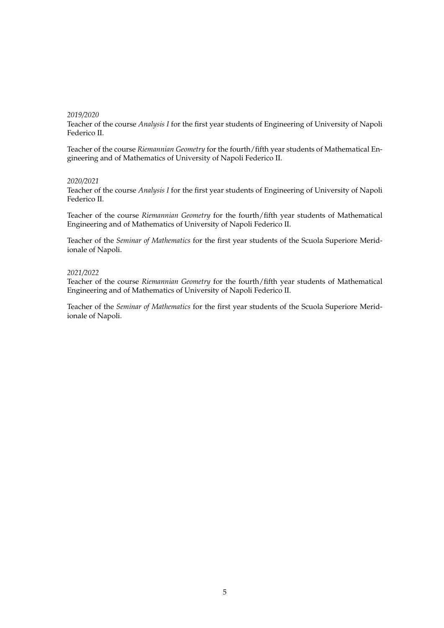### *2019/2020*

Teacher of the course *Analysis I* for the first year students of Engineering of University of Napoli Federico II.

Teacher of the course *Riemannian Geometry* for the fourth/fifth year students of Mathematical Engineering and of Mathematics of University of Napoli Federico II.

### *2020/2021*

Teacher of the course *Analysis I* for the first year students of Engineering of University of Napoli Federico II.

Teacher of the course *Riemannian Geometry* for the fourth/fifth year students of Mathematical Engineering and of Mathematics of University of Napoli Federico II.

Teacher of the *Seminar of Mathematics* for the first year students of the Scuola Superiore Meridionale of Napoli.

## *2021/2022*

Teacher of the course *Riemannian Geometry* for the fourth/fifth year students of Mathematical Engineering and of Mathematics of University of Napoli Federico II.

Teacher of the *Seminar of Mathematics* for the first year students of the Scuola Superiore Meridionale of Napoli.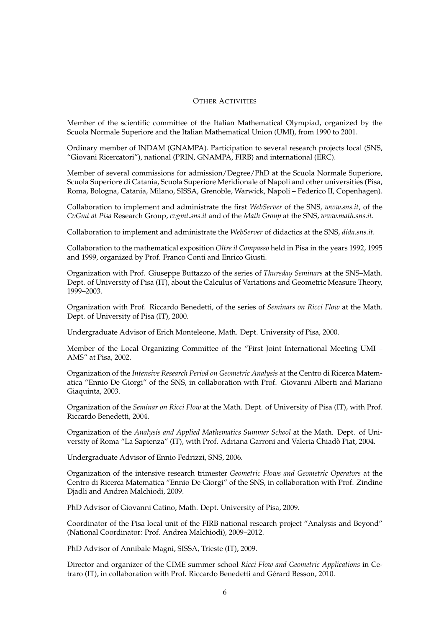## OTHER ACTIVITIES

Member of the scientific committee of the Italian Mathematical Olympiad, organized by the Scuola Normale Superiore and the Italian Mathematical Union (UMI), from 1990 to 2001.

Ordinary member of INDAM (GNAMPA). Participation to several research projects local (SNS, "Giovani Ricercatori"), national (PRIN, GNAMPA, FIRB) and international (ERC).

Member of several commissions for admission/Degree/PhD at the Scuola Normale Superiore, Scuola Superiore di Catania, Scuola Superiore Meridionale of Napoli and other universities (Pisa, Roma, Bologna, Catania, Milano, SISSA, Grenoble, Warwick, Napoli – Federico II, Copenhagen).

Collaboration to implement and administrate the first *WebServer* of the SNS, *www.sns.it*, of the *CvGmt at Pisa* Research Group, *cvgmt.sns.it* and of the *Math Group* at the SNS, *www.math.sns.it*.

Collaboration to implement and administrate the *WebServer* of didactics at the SNS, *dida.sns.it*.

Collaboration to the mathematical exposition *Oltre il Compasso* held in Pisa in the years 1992, 1995 and 1999, organized by Prof. Franco Conti and Enrico Giusti.

Organization with Prof. Giuseppe Buttazzo of the series of *Thursday Seminars* at the SNS–Math. Dept. of University of Pisa (IT), about the Calculus of Variations and Geometric Measure Theory, 1999–2003.

Organization with Prof. Riccardo Benedetti, of the series of *Seminars on Ricci Flow* at the Math. Dept. of University of Pisa (IT), 2000.

Undergraduate Advisor of Erich Monteleone, Math. Dept. University of Pisa, 2000.

Member of the Local Organizing Committee of the "First Joint International Meeting UMI – AMS" at Pisa, 2002.

Organization of the *Intensive Research Period on Geometric Analysis* at the Centro di Ricerca Matematica "Ennio De Giorgi" of the SNS, in collaboration with Prof. Giovanni Alberti and Mariano Giaquinta, 2003.

Organization of the *Seminar on Ricci Flow* at the Math. Dept. of University of Pisa (IT), with Prof. Riccardo Benedetti, 2004.

Organization of the *Analysis and Applied Mathematics Summer School* at the Math. Dept. of University of Roma "La Sapienza" (IT), with Prof. Adriana Garroni and Valeria Chiado Piat, 2004. `

Undergraduate Advisor of Ennio Fedrizzi, SNS, 2006.

Organization of the intensive research trimester *Geometric Flows and Geometric Operators* at the Centro di Ricerca Matematica "Ennio De Giorgi" of the SNS, in collaboration with Prof. Zindine Djadli and Andrea Malchiodi, 2009.

PhD Advisor of Giovanni Catino, Math. Dept. University of Pisa, 2009.

Coordinator of the Pisa local unit of the FIRB national research project "Analysis and Beyond" (National Coordinator: Prof. Andrea Malchiodi), 2009–2012.

PhD Advisor of Annibale Magni, SISSA, Trieste (IT), 2009.

Director and organizer of the CIME summer school *Ricci Flow and Geometric Applications* in Cetraro (IT), in collaboration with Prof. Riccardo Benedetti and Gérard Besson, 2010.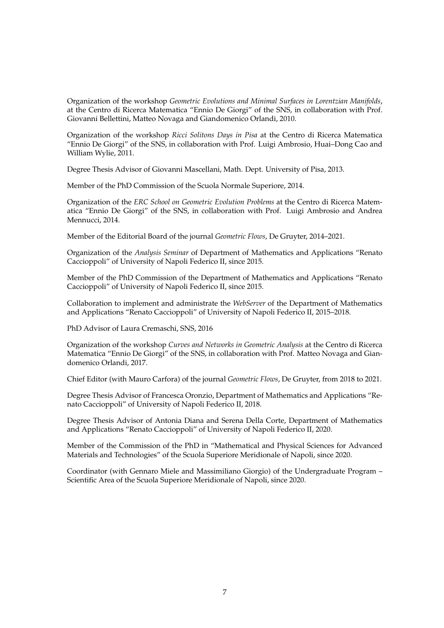Organization of the workshop *Geometric Evolutions and Minimal Surfaces in Lorentzian Manifolds*, at the Centro di Ricerca Matematica "Ennio De Giorgi" of the SNS, in collaboration with Prof. Giovanni Bellettini, Matteo Novaga and Giandomenico Orlandi, 2010.

Organization of the workshop *Ricci Solitons Days in Pisa* at the Centro di Ricerca Matematica "Ennio De Giorgi" of the SNS, in collaboration with Prof. Luigi Ambrosio, Huai–Dong Cao and William Wylie, 2011.

Degree Thesis Advisor of Giovanni Mascellani, Math. Dept. University of Pisa, 2013.

Member of the PhD Commission of the Scuola Normale Superiore, 2014.

Organization of the *ERC School on Geometric Evolution Problems* at the Centro di Ricerca Matematica "Ennio De Giorgi" of the SNS, in collaboration with Prof. Luigi Ambrosio and Andrea Mennucci, 2014.

Member of the Editorial Board of the journal *Geometric Flows*, De Gruyter, 2014–2021.

Organization of the *Analysis Seminar* of Department of Mathematics and Applications "Renato Caccioppoli" of University of Napoli Federico II, since 2015.

Member of the PhD Commission of the Department of Mathematics and Applications "Renato Caccioppoli" of University of Napoli Federico II, since 2015.

Collaboration to implement and administrate the *WebServer* of the Department of Mathematics and Applications "Renato Caccioppoli" of University of Napoli Federico II, 2015–2018.

PhD Advisor of Laura Cremaschi, SNS, 2016

Organization of the workshop *Curves and Networks in Geometric Analysis* at the Centro di Ricerca Matematica "Ennio De Giorgi" of the SNS, in collaboration with Prof. Matteo Novaga and Giandomenico Orlandi, 2017.

Chief Editor (with Mauro Carfora) of the journal *Geometric Flows*, De Gruyter, from 2018 to 2021.

Degree Thesis Advisor of Francesca Oronzio, Department of Mathematics and Applications "Renato Caccioppoli" of University of Napoli Federico II, 2018.

Degree Thesis Advisor of Antonia Diana and Serena Della Corte, Department of Mathematics and Applications "Renato Caccioppoli" of University of Napoli Federico II, 2020.

Member of the Commission of the PhD in "Mathematical and Physical Sciences for Advanced Materials and Technologies" of the Scuola Superiore Meridionale of Napoli, since 2020.

Coordinator (with Gennaro Miele and Massimiliano Giorgio) of the Undergraduate Program – Scientific Area of the Scuola Superiore Meridionale of Napoli, since 2020.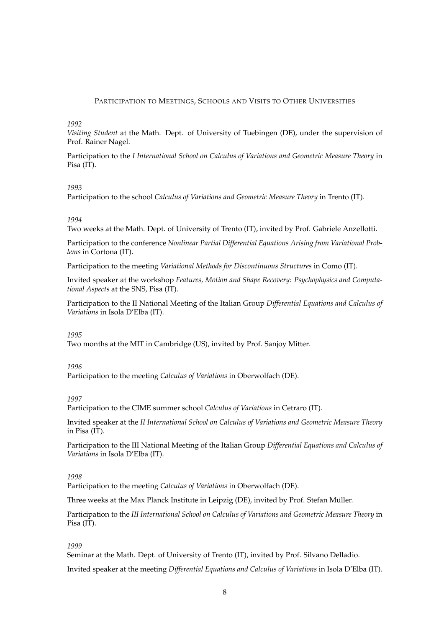## PARTICIPATION TO MEETINGS, SCHOOLS AND VISITS TO OTHER UNIVERSITIES

## *1992*

*Visiting Student* at the Math. Dept. of University of Tuebingen (DE), under the supervision of Prof. Rainer Nagel.

Participation to the *I International School on Calculus of Variations and Geometric Measure Theory* in Pisa (IT).

## *1993*

Participation to the school *Calculus of Variations and Geometric Measure Theory* in Trento (IT).

## *1994*

Two weeks at the Math. Dept. of University of Trento (IT), invited by Prof. Gabriele Anzellotti.

Participation to the conference *Nonlinear Partial Differential Equations Arising from Variational Problems* in Cortona (IT).

Participation to the meeting *Variational Methods for Discontinuous Structures* in Como (IT).

Invited speaker at the workshop *Features, Motion and Shape Recovery: Psychophysics and Computational Aspects* at the SNS, Pisa (IT).

Participation to the II National Meeting of the Italian Group *Differential Equations and Calculus of Variations* in Isola D'Elba (IT).

### *1995*

Two months at the MIT in Cambridge (US), invited by Prof. Sanjoy Mitter.

## *1996*

Participation to the meeting *Calculus of Variations* in Oberwolfach (DE).

## *1997*

Participation to the CIME summer school *Calculus of Variations* in Cetraro (IT).

Invited speaker at the *II International School on Calculus of Variations and Geometric Measure Theory* in Pisa (IT).

Participation to the III National Meeting of the Italian Group *Differential Equations and Calculus of Variations* in Isola D'Elba (IT).

### *1998*

Participation to the meeting *Calculus of Variations* in Oberwolfach (DE).

Three weeks at the Max Planck Institute in Leipzig (DE), invited by Prof. Stefan Muller. ¨

Participation to the *III International School on Calculus of Variations and Geometric Measure Theory* in Pisa (IT).

### *1999*

Seminar at the Math. Dept. of University of Trento (IT), invited by Prof. Silvano Delladio.

Invited speaker at the meeting *Differential Equations and Calculus of Variations* in Isola D'Elba (IT).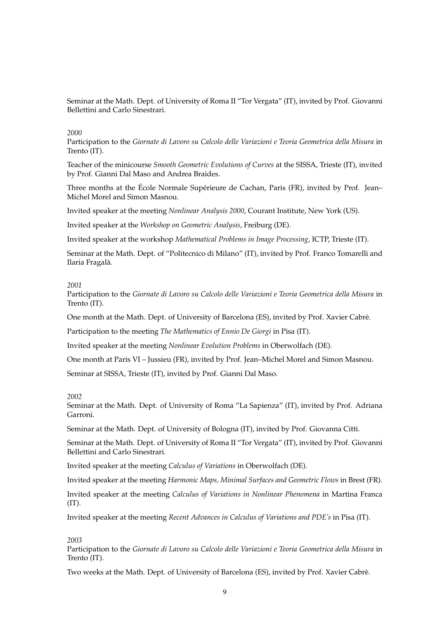Seminar at the Math. Dept. of University of Roma II "Tor Vergata" (IT), invited by Prof. Giovanni Bellettini and Carlo Sinestrari.

### *2000*

Participation to the *Giornate di Lavoro su Calcolo delle Variazioni e Teoria Geometrica della Misura* in Trento (IT).

Teacher of the minicourse *Smooth Geometric Evolutions of Curves* at the SISSA, Trieste (IT), invited by Prof. Gianni Dal Maso and Andrea Braides.

Three months at the École Normale Supérieure de Cachan, Paris (FR), invited by Prof. Jean– Michel Morel and Simon Masnou.

Invited speaker at the meeting *Nonlinear Analysis 2000*, Courant Institute, New York (US).

Invited speaker at the *Workshop on Geometric Analysis*, Freiburg (DE).

Invited speaker at the workshop *Mathematical Problems in Image Processing*, ICTP, Trieste (IT).

Seminar at the Math. Dept. of "Politecnico di Milano" (IT), invited by Prof. Franco Tomarelli and Ilaria Fragalà.

#### *2001*

Participation to the *Giornate di Lavoro su Calcolo delle Variazioni e Teoria Geometrica della Misura* in Trento (IT).

One month at the Math. Dept. of University of Barcelona (ES), invited by Prof. Xavier Cabre.`

Participation to the meeting *The Mathematics of Ennio De Giorgi* in Pisa (IT).

Invited speaker at the meeting *Nonlinear Evolution Problems* in Oberwolfach (DE).

One month at Paris VI – Jussieu (FR), invited by Prof. Jean–Michel Morel and Simon Masnou.

Seminar at SISSA, Trieste (IT), invited by Prof. Gianni Dal Maso.

### *2002*

Seminar at the Math. Dept. of University of Roma "La Sapienza" (IT), invited by Prof. Adriana Garroni.

Seminar at the Math. Dept. of University of Bologna (IT), invited by Prof. Giovanna Citti.

Seminar at the Math. Dept. of University of Roma II "Tor Vergata" (IT), invited by Prof. Giovanni Bellettini and Carlo Sinestrari.

Invited speaker at the meeting *Calculus of Variations* in Oberwolfach (DE).

Invited speaker at the meeting *Harmonic Maps, Minimal Surfaces and Geometric Flows* in Brest (FR).

Invited speaker at the meeting *Calculus of Variations in Nonlinear Phenomena* in Martina Franca (IT).

Invited speaker at the meeting *Recent Advances in Calculus of Variations and PDE's* in Pisa (IT).

### *2003*

Participation to the *Giornate di Lavoro su Calcolo delle Variazioni e Teoria Geometrica della Misura* in Trento (IT).

Two weeks at the Math. Dept. of University of Barcelona (ES), invited by Prof. Xavier Cabrè.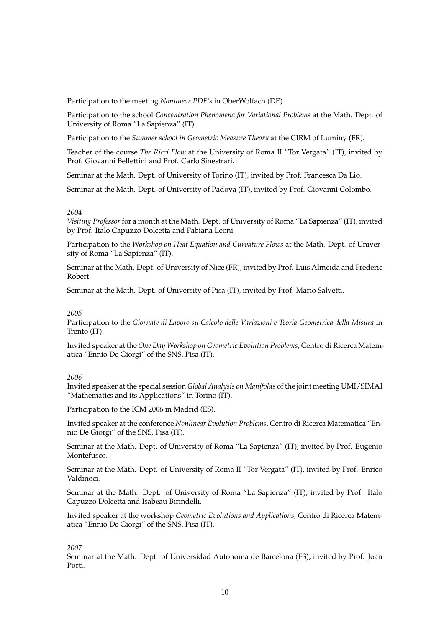Participation to the meeting *Nonlinear PDE's* in OberWolfach (DE).

Participation to the school *Concentration Phenomena for Variational Problems* at the Math. Dept. of University of Roma "La Sapienza" (IT).

Participation to the *Summer school in Geometric Measure Theory* at the CIRM of Luminy (FR).

Teacher of the course *The Ricci Flow* at the University of Roma II "Tor Vergata" (IT), invited by Prof. Giovanni Bellettini and Prof. Carlo Sinestrari.

Seminar at the Math. Dept. of University of Torino (IT), invited by Prof. Francesca Da Lio.

Seminar at the Math. Dept. of University of Padova (IT), invited by Prof. Giovanni Colombo.

## *2004*

*Visiting Professor* for a month at the Math. Dept. of University of Roma "La Sapienza" (IT), invited by Prof. Italo Capuzzo Dolcetta and Fabiana Leoni.

Participation to the *Workshop on Heat Equation and Curvature Flows* at the Math. Dept. of University of Roma "La Sapienza" (IT).

Seminar at the Math. Dept. of University of Nice (FR), invited by Prof. Luis Almeida and Frederic Robert.

Seminar at the Math. Dept. of University of Pisa (IT), invited by Prof. Mario Salvetti.

### *2005*

Participation to the *Giornate di Lavoro su Calcolo delle Variazioni e Teoria Geometrica della Misura* in Trento (IT).

Invited speaker at the *One Day Workshop on Geometric Evolution Problems*, Centro di Ricerca Matematica "Ennio De Giorgi" of the SNS, Pisa (IT).

## *2006*

Invited speaker at the special session *Global Analysis on Manifolds* of the joint meeting UMI/SIMAI "Mathematics and its Applications" in Torino (IT).

Participation to the ICM 2006 in Madrid (ES).

Invited speaker at the conference *Nonlinear Evolution Problems*, Centro di Ricerca Matematica "Ennio De Giorgi" of the SNS, Pisa (IT).

Seminar at the Math. Dept. of University of Roma "La Sapienza" (IT), invited by Prof. Eugenio Montefusco.

Seminar at the Math. Dept. of University of Roma II "Tor Vergata" (IT), invited by Prof. Enrico Valdinoci.

Seminar at the Math. Dept. of University of Roma "La Sapienza" (IT), invited by Prof. Italo Capuzzo Dolcetta and Isabeau Birindelli.

Invited speaker at the workshop *Geometric Evolutions and Applications*, Centro di Ricerca Matematica "Ennio De Giorgi" of the SNS, Pisa (IT).

## *2007*

Seminar at the Math. Dept. of Universidad Autonoma de Barcelona (ES), invited by Prof. Joan Porti.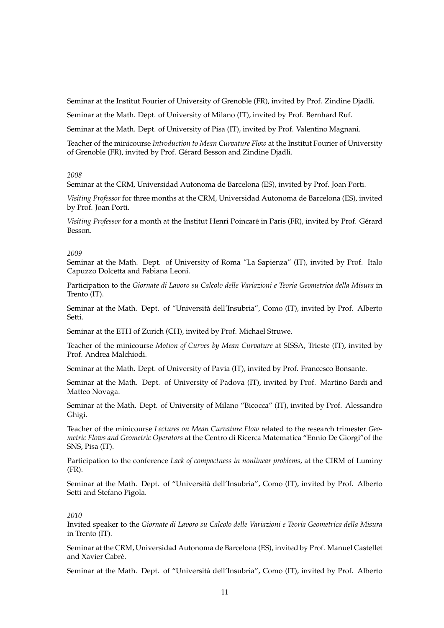Seminar at the Institut Fourier of University of Grenoble (FR), invited by Prof. Zindine Djadli.

Seminar at the Math. Dept. of University of Milano (IT), invited by Prof. Bernhard Ruf.

Seminar at the Math. Dept. of University of Pisa (IT), invited by Prof. Valentino Magnani.

Teacher of the minicourse *Introduction to Mean Curvature Flow* at the Institut Fourier of University of Grenoble (FR), invited by Prof. Gérard Besson and Zindine Djadli.

## *2008*

Seminar at the CRM, Universidad Autonoma de Barcelona (ES), invited by Prof. Joan Porti.

*Visiting Professor* for three months at the CRM, Universidad Autonoma de Barcelona (ES), invited by Prof. Joan Porti.

*Visiting Professor* for a month at the Institut Henri Poincaré in Paris (FR), invited by Prof. Gérard Besson.

### *2009*

Seminar at the Math. Dept. of University of Roma "La Sapienza" (IT), invited by Prof. Italo Capuzzo Dolcetta and Fabiana Leoni.

Participation to the *Giornate di Lavoro su Calcolo delle Variazioni e Teoria Geometrica della Misura* in Trento (IT).

Seminar at the Math. Dept. of "Universita dell'Insubria", Como (IT), invited by Prof. Alberto ` Setti.

Seminar at the ETH of Zurich (CH), invited by Prof. Michael Struwe.

Teacher of the minicourse *Motion of Curves by Mean Curvature* at SISSA, Trieste (IT), invited by Prof. Andrea Malchiodi.

Seminar at the Math. Dept. of University of Pavia (IT), invited by Prof. Francesco Bonsante.

Seminar at the Math. Dept. of University of Padova (IT), invited by Prof. Martino Bardi and Matteo Novaga.

Seminar at the Math. Dept. of University of Milano "Bicocca" (IT), invited by Prof. Alessandro Ghigi.

Teacher of the minicourse *Lectures on Mean Curvature Flow* related to the research trimester *Geometric Flows and Geometric Operators* at the Centro di Ricerca Matematica "Ennio De Giorgi"of the SNS, Pisa (IT).

Participation to the conference *Lack of compactness in nonlinear problems*, at the CIRM of Luminy (FR).

Seminar at the Math. Dept. of "Universita dell'Insubria", Como (IT), invited by Prof. Alberto ` Setti and Stefano Pigola.

### *2010*

Invited speaker to the *Giornate di Lavoro su Calcolo delle Variazioni e Teoria Geometrica della Misura* in Trento (IT).

Seminar at the CRM, Universidad Autonoma de Barcelona (ES), invited by Prof. Manuel Castellet and Xavier Cabrè.

Seminar at the Math. Dept. of "Università dell'Insubria", Como (IT), invited by Prof. Alberto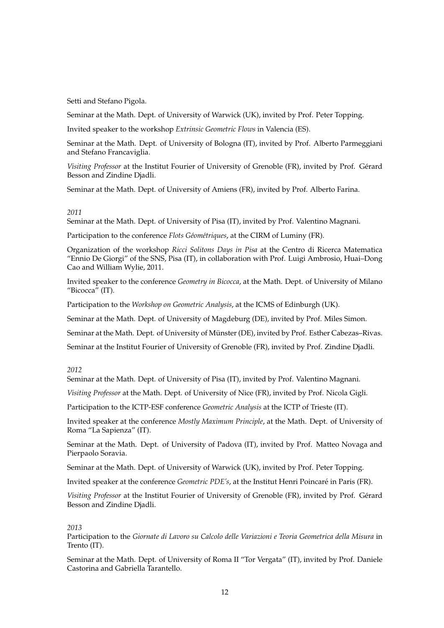Setti and Stefano Pigola.

Seminar at the Math. Dept. of University of Warwick (UK), invited by Prof. Peter Topping.

Invited speaker to the workshop *Extrinsic Geometric Flows* in Valencia (ES).

Seminar at the Math. Dept. of University of Bologna (IT), invited by Prof. Alberto Parmeggiani and Stefano Francaviglia.

*Visiting Professor* at the Institut Fourier of University of Grenoble (FR), invited by Prof. Gerard ´ Besson and Zindine Djadli.

Seminar at the Math. Dept. of University of Amiens (FR), invited by Prof. Alberto Farina.

### *2011*

Seminar at the Math. Dept. of University of Pisa (IT), invited by Prof. Valentino Magnani.

Participation to the conference *Flots Géométriques*, at the CIRM of Luminy (FR).

Organization of the workshop *Ricci Solitons Days in Pisa* at the Centro di Ricerca Matematica "Ennio De Giorgi" of the SNS, Pisa (IT), in collaboration with Prof. Luigi Ambrosio, Huai–Dong Cao and William Wylie, 2011.

Invited speaker to the conference *Geometry in Bicocca*, at the Math. Dept. of University of Milano "Bicocca" (IT).

Participation to the *Workshop on Geometric Analysis*, at the ICMS of Edinburgh (UK).

Seminar at the Math. Dept. of University of Magdeburg (DE), invited by Prof. Miles Simon.

Seminar at the Math. Dept. of University of Münster (DE), invited by Prof. Esther Cabezas–Rivas.

Seminar at the Institut Fourier of University of Grenoble (FR), invited by Prof. Zindine Djadli.

## *2012*

Seminar at the Math. Dept. of University of Pisa (IT), invited by Prof. Valentino Magnani.

*Visiting Professor* at the Math. Dept. of University of Nice (FR), invited by Prof. Nicola Gigli.

Participation to the ICTP-ESF conference *Geometric Analysis* at the ICTP of Trieste (IT).

Invited speaker at the conference *Mostly Maximum Principle*, at the Math. Dept. of University of Roma "La Sapienza" (IT).

Seminar at the Math. Dept. of University of Padova (IT), invited by Prof. Matteo Novaga and Pierpaolo Soravia.

Seminar at the Math. Dept. of University of Warwick (UK), invited by Prof. Peter Topping.

Invited speaker at the conference *Geometric PDE's*, at the Institut Henri Poincare in Paris (FR). ´

*Visiting Professor* at the Institut Fourier of University of Grenoble (FR), invited by Prof. Gerard ´ Besson and Zindine Djadli.

## *2013*

Participation to the *Giornate di Lavoro su Calcolo delle Variazioni e Teoria Geometrica della Misura* in Trento (IT).

Seminar at the Math. Dept. of University of Roma II "Tor Vergata" (IT), invited by Prof. Daniele Castorina and Gabriella Tarantello.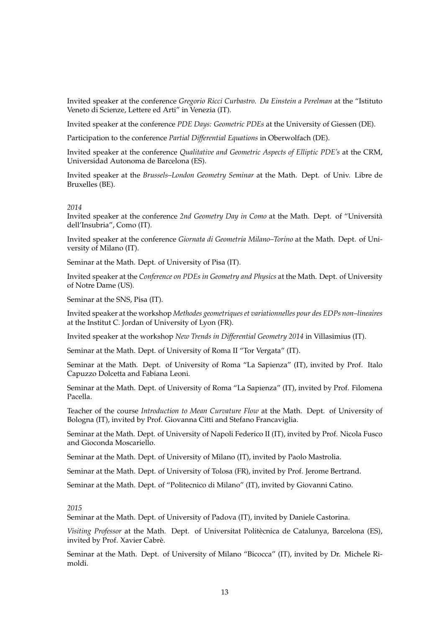Invited speaker at the conference *Gregorio Ricci Curbastro. Da Einstein a Perelman* at the "Istituto Veneto di Scienze, Lettere ed Arti" in Venezia (IT).

Invited speaker at the conference *PDE Days: Geometric PDEs* at the University of Giessen (DE).

Participation to the conference *Partial Differential Equations* in Oberwolfach (DE).

Invited speaker at the conference *Qualitative and Geometric Aspects of Elliptic PDE's* at the CRM, Universidad Autonoma de Barcelona (ES).

Invited speaker at the *Brussels–London Geometry Seminar* at the Math. Dept. of Univ. Libre de Bruxelles (BE).

#### *2014*

Invited speaker at the conference *2nd Geometry Day in Como* at the Math. Dept. of "Universita` dell'Insubria", Como (IT).

Invited speaker at the conference *Giornata di Geometria Milano–Torino* at the Math. Dept. of University of Milano (IT).

Seminar at the Math. Dept. of University of Pisa (IT).

Invited speaker at the *Conference on PDEs in Geometry and Physics* at the Math. Dept. of University of Notre Dame (US).

Seminar at the SNS, Pisa (IT).

Invited speaker at the workshop *Methodes geometriques et variationnelles pour des EDPs non–lineaires* at the Institut C. Jordan of University of Lyon (FR).

Invited speaker at the workshop *New Trends in Differential Geometry 2014* in Villasimius (IT).

Seminar at the Math. Dept. of University of Roma II "Tor Vergata" (IT).

Seminar at the Math. Dept. of University of Roma "La Sapienza" (IT), invited by Prof. Italo Capuzzo Dolcetta and Fabiana Leoni.

Seminar at the Math. Dept. of University of Roma "La Sapienza" (IT), invited by Prof. Filomena Pacella.

Teacher of the course *Introduction to Mean Curvature Flow* at the Math. Dept. of University of Bologna (IT), invited by Prof. Giovanna Citti and Stefano Francaviglia.

Seminar at the Math. Dept. of University of Napoli Federico II (IT), invited by Prof. Nicola Fusco and Gioconda Moscariello.

Seminar at the Math. Dept. of University of Milano (IT), invited by Paolo Mastrolia.

Seminar at the Math. Dept. of University of Tolosa (FR), invited by Prof. Jerome Bertrand.

Seminar at the Math. Dept. of "Politecnico di Milano" (IT), invited by Giovanni Catino.

## *2015*

Seminar at the Math. Dept. of University of Padova (IT), invited by Daniele Castorina.

*Visiting Professor* at the Math. Dept. of Universitat Politècnica de Catalunya, Barcelona (ES), invited by Prof. Xavier Cabrè.

Seminar at the Math. Dept. of University of Milano "Bicocca" (IT), invited by Dr. Michele Rimoldi.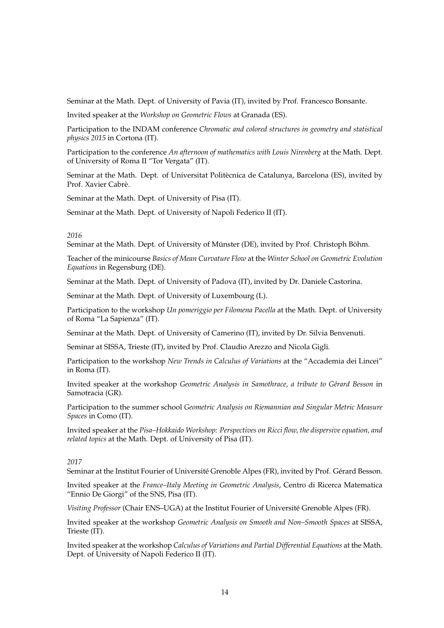Seminar at the Math. Dept. of University of Pavia (IT), invited by Prof. Francesco Bonsante.

Invited speaker at the *Workshop on Geometric Flows* at Granada (ES).

Participation to the INDAM conference *Chromatic and colored structures in geometry and statistical physics 2015* in Cortona (IT).

Participation to the conference *An afternoon of mathematics with Louis Nirenberg* at the Math. Dept. of University of Roma II "Tor Vergata" (IT).

Seminar at the Math. Dept. of Universitat Politècnica de Catalunya, Barcelona (ES), invited by Prof. Xavier Cabrè.

Seminar at the Math. Dept. of University of Pisa (IT).

Seminar at the Math. Dept. of University of Napoli Federico II (IT).

### *2016*

Seminar at the Math. Dept. of University of Münster (DE), invited by Prof. Christoph Böhm.

Teacher of the minicourse *Basics of Mean Curvature Flow* at the *Winter School on Geometric Evolution Equations* in Regensburg (DE).

Seminar at the Math. Dept. of University of Padova (IT), invited by Dr. Daniele Castorina.

Seminar at the Math. Dept. of University of Luxembourg (L).

Participation to the workshop *Un pomeriggio per Filomena Pacella* at the Math. Dept. of University of Roma "La Sapienza" (IT).

Seminar at the Math. Dept. of University of Camerino (IT), invited by Dr. Silvia Benvenuti.

Seminar at SISSA, Trieste (IT), invited by Prof. Claudio Arezzo and Nicola Gigli.

Participation to the workshop *New Trends in Calculus of Variations* at the "Accademia dei Lincei" in Roma (IT).

Invited speaker at the workshop *Geometric Analysis in Samothrace, a tribute to Gérard Besson* in Samotracia (GR).

Participation to the summer school *Geometric Analysis on Riemannian and Singular Metric Measure Spaces* in Como (IT).

Invited speaker at the *Pisa–Hokkaido Workshop: Perspectives on Ricci flow, the dispersive equation, and related topics* at the Math. Dept. of University of Pisa (IT).

# *2017*

Seminar at the Institut Fourier of Université Grenoble Alpes (FR), invited by Prof. Gérard Besson.

Invited speaker at the *France–Italy Meeting in Geometric Analysis*, Centro di Ricerca Matematica "Ennio De Giorgi" of the SNS, Pisa (IT).

*Visiting Professor* (Chair ENS–UGA) at the Institut Fourier of Universite Grenoble Alpes (FR). ´

Invited speaker at the workshop *Geometric Analysis on Smooth and Non–Smooth Spaces* at SISSA, Trieste (IT).

Invited speaker at the workshop *Calculus of Variations and Partial Differential Equations* at the Math. Dept. of University of Napoli Federico II (IT).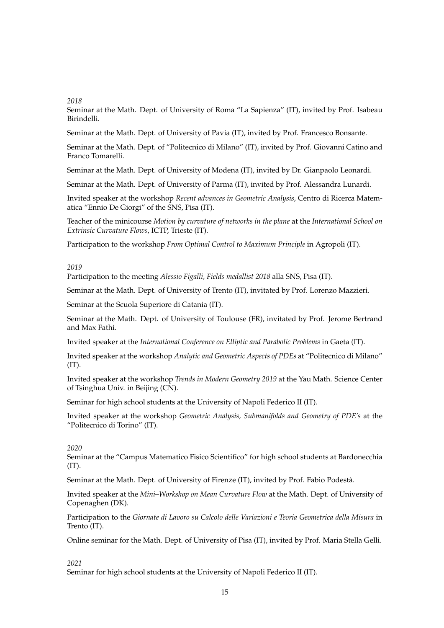## *2018*

Seminar at the Math. Dept. of University of Roma "La Sapienza" (IT), invited by Prof. Isabeau Birindelli.

Seminar at the Math. Dept. of University of Pavia (IT), invited by Prof. Francesco Bonsante.

Seminar at the Math. Dept. of "Politecnico di Milano" (IT), invited by Prof. Giovanni Catino and Franco Tomarelli.

Seminar at the Math. Dept. of University of Modena (IT), invited by Dr. Gianpaolo Leonardi.

Seminar at the Math. Dept. of University of Parma (IT), invited by Prof. Alessandra Lunardi.

Invited speaker at the workshop *Recent advances in Geometric Analysis*, Centro di Ricerca Matematica "Ennio De Giorgi" of the SNS, Pisa (IT).

Teacher of the minicourse *Motion by curvature of networks in the plane* at the *International School on Extrinsic Curvature Flows*, ICTP, Trieste (IT).

Participation to the workshop *From Optimal Control to Maximum Principle* in Agropoli (IT).

## *2019*

Participation to the meeting *Alessio Figalli, Fields medallist 2018* alla SNS, Pisa (IT).

Seminar at the Math. Dept. of University of Trento (IT), invitated by Prof. Lorenzo Mazzieri.

Seminar at the Scuola Superiore di Catania (IT).

Seminar at the Math. Dept. of University of Toulouse (FR), invitated by Prof. Jerome Bertrand and Max Fathi.

Invited speaker at the *International Conference on Elliptic and Parabolic Problems* in Gaeta (IT).

Invited speaker at the workshop *Analytic and Geometric Aspects of PDEs* at "Politecnico di Milano"  $(IT).$ 

Invited speaker at the workshop *Trends in Modern Geometry 2019* at the Yau Math. Science Center of Tsinghua Univ. in Beijing (CN).

Seminar for high school students at the University of Napoli Federico II (IT).

Invited speaker at the workshop *Geometric Analysis, Submanifolds and Geometry of PDE's* at the "Politecnico di Torino" (IT).

## *2020*

Seminar at the "Campus Matematico Fisico Scientifico" for high school students at Bardonecchia (IT).

Seminar at the Math. Dept. of University of Firenze (IT), invited by Prof. Fabio Podesta.`

Invited speaker at the *Mini–Workshop on Mean Curvature Flow* at the Math. Dept. of University of Copenaghen (DK).

Participation to the *Giornate di Lavoro su Calcolo delle Variazioni e Teoria Geometrica della Misura* in Trento (IT).

Online seminar for the Math. Dept. of University of Pisa (IT), invited by Prof. Maria Stella Gelli.

## *2021*

Seminar for high school students at the University of Napoli Federico II (IT).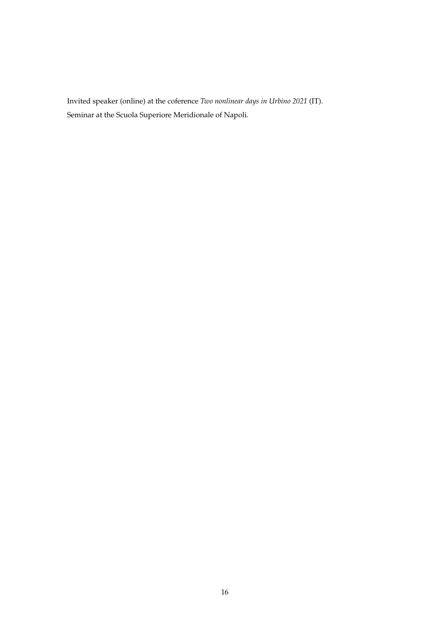Invited speaker (online) at the coference *Two nonlinear days in Urbino 2021* (IT). Seminar at the Scuola Superiore Meridionale of Napoli.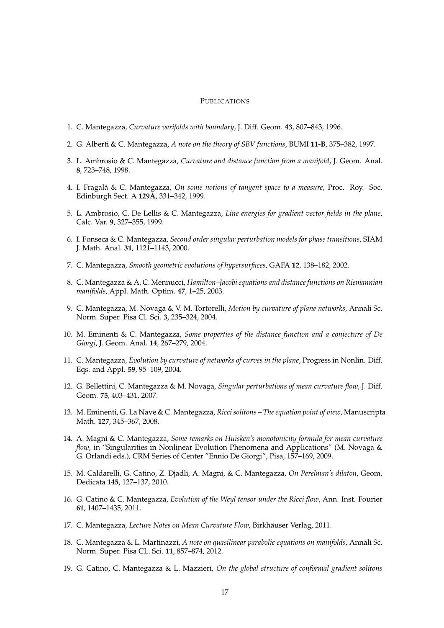### **PUBLICATIONS**

- 1. C. Mantegazza, *Curvature varifolds with boundary*, J. Diff. Geom. **43**, 807–843, 1996.
- 2. G. Alberti & C. Mantegazza, *A note on the theory of SBV functions*, BUMI **11-B**, 375–382, 1997.
- 3. L. Ambrosio & C. Mantegazza, *Curvature and distance function from a manifold*, J. Geom. Anal. **8**, 723–748, 1998.
- 4. I. Fragala & C. Mantegazza, ` *On some notions of tangent space to a measure*, Proc. Roy. Soc. Edinburgh Sect. A **129A**, 331–342, 1999.
- 5. L. Ambrosio, C. De Lellis & C. Mantegazza, *Line energies for gradient vector fields in the plane*, Calc. Var. **9**, 327–355, 1999.
- 6. I. Fonseca & C. Mantegazza, *Second order singular perturbation models for phase transitions*, SIAM J. Math. Anal. **31**, 1121–1143, 2000.
- 7. C. Mantegazza, *Smooth geometric evolutions of hypersurfaces*, GAFA **12**, 138–182, 2002.
- 8. C. Mantegazza & A. C. Mennucci, *Hamilton–Jacobi equations and distance functions on Riemannian manifolds*, Appl. Math. Optim. **47**, 1–25, 2003.
- 9. C. Mantegazza, M. Novaga & V. M. Tortorelli, *Motion by curvature of plane networks*, Annali Sc. Norm. Super. Pisa Cl. Sci. **3**, 235–324, 2004.
- 10. M. Eminenti & C. Mantegazza, *Some properties of the distance function and a conjecture of De Giorgi*, J. Geom. Anal. **14**, 267–279, 2004.
- 11. C. Mantegazza, *Evolution by curvature of networks of curves in the plane*, Progress in Nonlin. Diff. Eqs. and Appl. **59**, 95–109, 2004.
- 12. G. Bellettini, C. Mantegazza & M. Novaga, *Singular perturbations of mean curvature flow*, J. Diff. Geom. **75**, 403–431, 2007.
- 13. M. Eminenti, G. La Nave & C. Mantegazza, *Ricci solitons The equation point of view*, Manuscripta Math. **127**, 345–367, 2008.
- 14. A. Magni & C. Mantegazza, *Some remarks on Huisken's monotonicity formula for mean curvature flow*, in "Singularities in Nonlinear Evolution Phenomena and Applications" (M. Novaga & G. Orlandi eds.), CRM Series of Center "Ennio De Giorgi", Pisa, 157–169, 2009.
- 15. M. Caldarelli, G. Catino, Z. Djadli, A. Magni, & C. Mantegazza, *On Perelman's dilaton*, Geom. Dedicata **145**, 127–137, 2010.
- 16. G. Catino & C. Mantegazza, *Evolution of the Weyl tensor under the Ricci flow*, Ann. Inst. Fourier **61**, 1407–1435, 2011.
- 17. C. Mantegazza, Lecture Notes on Mean Curvature Flow, Birkhäuser Verlag, 2011.
- 18. C. Mantegazza & L. Martinazzi, *A note on quasilinear parabolic equations on manifolds*, Annali Sc. Norm. Super. Pisa CL. Sci. **11**, 857–874, 2012.
- 19. G. Catino, C. Mantegazza & L. Mazzieri, *On the global structure of conformal gradient solitons*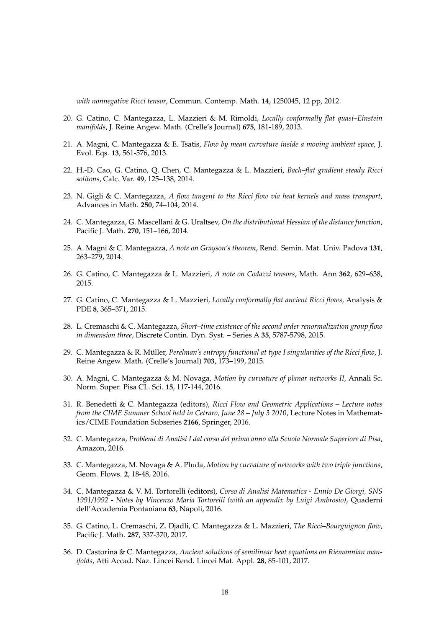*with nonnegative Ricci tensor*, Commun. Contemp. Math. **14**, 1250045, 12 pp, 2012.

- 20. G. Catino, C. Mantegazza, L. Mazzieri & M. Rimoldi, *Locally conformally flat quasi–Einstein manifolds*, J. Reine Angew. Math. (Crelle's Journal) **675**, 181-189, 2013.
- 21. A. Magni, C. Mantegazza & E. Tsatis, *Flow by mean curvature inside a moving ambient space*, J. Evol. Eqs. **13**, 561-576, 2013.
- 22. H.-D. Cao, G. Catino, Q. Chen, C. Mantegazza & L. Mazzieri, *Bach–flat gradient steady Ricci solitons*, Calc. Var. **49**, 125–138, 2014.
- 23. N. Gigli & C. Mantegazza, *A flow tangent to the Ricci flow via heat kernels and mass transport*, Advances in Math. **250**, 74–104, 2014.
- 24. C. Mantegazza, G. Mascellani & G. Uraltsev, *On the distributional Hessian of the distance function*, Pacific J. Math. **270**, 151–166, 2014.
- 25. A. Magni & C. Mantegazza, *A note on Grayson's theorem*, Rend. Semin. Mat. Univ. Padova **131**, 263–279, 2014.
- 26. G. Catino, C. Mantegazza & L. Mazzieri, *A note on Codazzi tensors*, Math. Ann **362**, 629–638, 2015.
- 27. G. Catino, C. Mantegazza & L. Mazzieri, *Locally conformally flat ancient Ricci flows*, Analysis & PDE **8**, 365–371, 2015.
- 28. L. Cremaschi & C. Mantegazza, *Short–time existence of the second order renormalization group flow in dimension three*, Discrete Contin. Dyn. Syst. – Series A **35**, 5787-5798, 2015.
- 29. C. Mantegazza & R. Müller, Perelman's entropy functional at type I singularities of the Ricci flow, J. Reine Angew. Math. (Crelle's Journal) **703**, 173–199, 2015.
- 30. A. Magni, C. Mantegazza & M. Novaga, *Motion by curvature of planar networks II*, Annali Sc. Norm. Super. Pisa CL. Sci. **15**, 117-144, 2016.
- 31. R. Benedetti & C. Mantegazza (editors), *Ricci Flow and Geometric Applications Lecture notes from the CIME Summer School held in Cetraro, June 28 – July 3 2010*, Lecture Notes in Mathematics/CIME Foundation Subseries **2166**, Springer, 2016.
- 32. C. Mantegazza, *Problemi di Analisi I dal corso del primo anno alla Scuola Normale Superiore di Pisa*, Amazon, 2016.
- 33. C. Mantegazza, M. Novaga & A. Pluda, *Motion by curvature of networks with two triple junctions*, Geom. Flows. **2**, 18-48, 2016.
- 34. C. Mantegazza & V. M. Tortorelli (editors), *Corso di Analisi Matematica Ennio De Giorgi, SNS 1991/1992 - Notes by Vincenzo Maria Tortorelli (with an appendix by Luigi Ambrosio)*, Quaderni dell'Accademia Pontaniana **63**, Napoli, 2016.
- 35. G. Catino, L. Cremaschi, Z. Djadli, C. Mantegazza & L. Mazzieri, *The Ricci–Bourguignon flow*, Pacific J. Math. **287**, 337-370, 2017.
- 36. D. Castorina & C. Mantegazza, *Ancient solutions of semilinear heat equations on Riemannian manifolds*, Atti Accad. Naz. Lincei Rend. Lincei Mat. Appl. **28**, 85-101, 2017.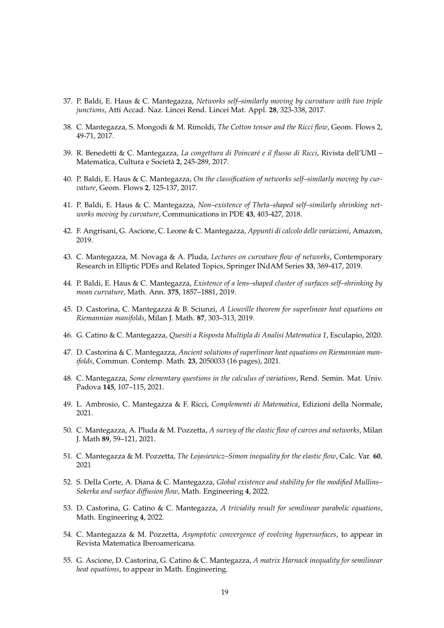- 37. P. Baldi, E. Haus & C. Mantegazza, *Networks self–similarly moving by curvature with two triple junctions*, Atti Accad. Naz. Lincei Rend. Lincei Mat. Appl. **28**, 323-338, 2017.
- 38. C. Mantegazza, S. Mongodi & M. Rimoldi, *The Cotton tensor and the Ricci flow*, Geom. Flows 2, 49-71, 2017.
- 39. R. Benedetti & C. Mantegazza, *La congettura di Poincar´e e il flusso di Ricci*, Rivista dell'UMI Matematica, Cultura e Societa` **2**, 245-289, 2017.
- 40. P. Baldi, E. Haus & C. Mantegazza, *On the classification of networks self–similarly moving by curvature*, Geom. Flows **2**, 125-137, 2017.
- 41. P. Baldi, E. Haus & C. Mantegazza, *Non–existence of Theta–shaped self–similarly shrinking networks moving by curvature*, Communications in PDE **43**, 403-427, 2018.
- 42. F. Angrisani, G. Ascione, C. Leone & C. Mantegazza, *Appunti di calcolo delle variazioni*, Amazon, 2019.
- 43. C. Mantegazza, M. Novaga & A. Pluda, *Lectures on curvature flow of networks*, Contemporary Research in Elliptic PDEs and Related Topics, Springer INdAM Series **33**, 369-417, 2019.
- 44. P. Baldi, E. Haus & C. Mantegazza, *Existence of a lens–shaped cluster of surfaces self–shrinking by mean curvature*, Math. Ann. **375**, 1857–1881, 2019.
- 45. D. Castorina, C. Mantegazza & B. Sciunzi, *A Liouville theorem for superlinear heat equations on Riemannian manifolds*, Milan J. Math. **87**, 303–313, 2019.
- 46. G. Catino & C. Mantegazza, *Quesiti a Risposta Multipla di Analisi Matematica 1*, Esculapio, 2020.
- 47. D. Castorina & C. Mantegazza, *Ancient solutions of superlinear heat equations on Riemannian manifolds*, Commun. Contemp. Math. **23**, 2050033 (16 pages), 2021.
- 48. C. Mantegazza, *Some elementary questions in the calculus of variations*, Rend. Semin. Mat. Univ. Padova **145**, 107–115, 2021.
- 49. L. Ambrosio, C. Mantegazza & F. Ricci, *Complementi di Matematica*, Edizioni della Normale, 2021.
- 50. C. Mantegazza, A. Pluda & M. Pozzetta, *A survey of the elastic flow of curves and networks*, Milan J. Math **89**, 59–121, 2021.
- 51. C. Mantegazza & M. Pozzetta, *The Łojasiewicz–Simon inequality for the elastic flow*, Calc. Var. **60**, 2021
- 52. S. Della Corte, A. Diana & C. Mantegazza, *Global existence and stability for the modified Mullins– Sekerka and surface diffusion flow*, Math. Engineering **4**, 2022.
- 53. D. Castorina, G. Catino & C. Mantegazza, *A triviality result for semilinear parabolic equations*, Math. Engineering **4**, 2022.
- 54. C. Mantegazza & M. Pozzetta, *Asymptotic convergence of evolving hypersurfaces*, to appear in Revista Matematica Iberoamericana.
- 55. G. Ascione, D. Castorina, G. Catino & C. Mantegazza, *A matrix Harnack inequality for semilinear heat equations*, to appear in Math. Engineering.